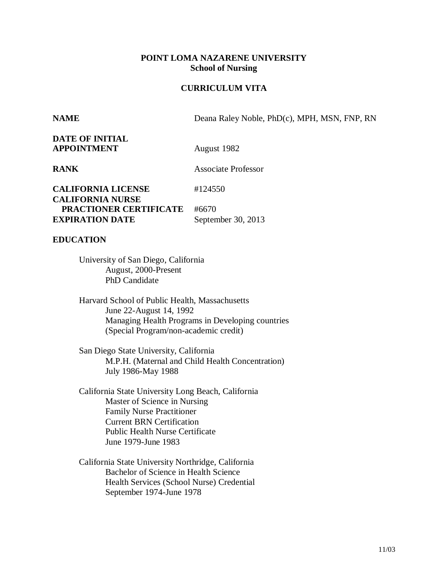### **POINT LOMA NAZARENE UNIVERSITY School of Nursing**

## **CURRICULUM VITA**

**NAME** Deana Raley Noble, PhD(c), MPH, MSN, FNP, RN

**DATE OF INITIAL APPOINTMENT** August 1982

**RANK** Associate Professor

**CALIFORNIA LICENSE** #124550 **CALIFORNIA NURSE PRACTIONER CERTIFICATE** #6670 **EXPIRATION DATE** September 30, 2013

### **EDUCATION**

University of San Diego, California August, 2000-Present PhD Candidate

Harvard School of Public Health, Massachusetts June 22-August 14, 1992 Managing Health Programs in Developing countries (Special Program/non-academic credit)

San Diego State University, California M.P.H. (Maternal and Child Health Concentration) July 1986-May 1988

- California State University Long Beach, California Master of Science in Nursing Family Nurse Practitioner Current BRN Certification Public Health Nurse Certificate June 1979-June 1983
- California State University Northridge, California Bachelor of Science in Health Science Health Services (School Nurse) Credential September 1974-June 1978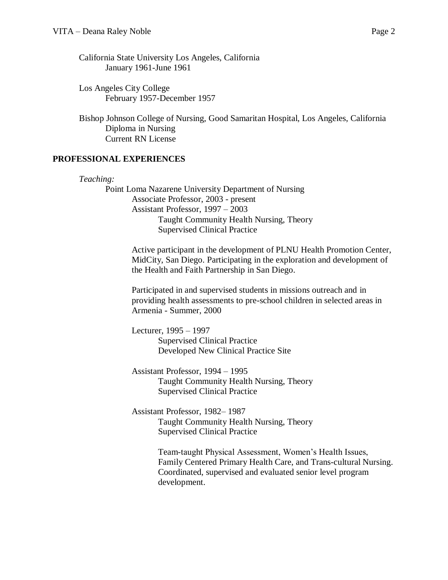California State University Los Angeles, California January 1961-June 1961

Los Angeles City College February 1957-December 1957

Bishop Johnson College of Nursing, Good Samaritan Hospital, Los Angeles, California Diploma in Nursing Current RN License

## **PROFESSIONAL EXPERIENCES**

*Teaching:* Point Loma Nazarene University Department of Nursing Associate Professor, 2003 - present Assistant Professor, 1997 – 2003 Taught Community Health Nursing, Theory Supervised Clinical Practice

> Active participant in the development of PLNU Health Promotion Center, MidCity, San Diego. Participating in the exploration and development of the Health and Faith Partnership in San Diego.

Participated in and supervised students in missions outreach and in providing health assessments to pre-school children in selected areas in Armenia - Summer, 2000

Lecturer, 1995 – 1997 Supervised Clinical Practice Developed New Clinical Practice Site

Assistant Professor, 1994 – 1995 Taught Community Health Nursing, Theory Supervised Clinical Practice

Assistant Professor, 1982– 1987 Taught Community Health Nursing, Theory Supervised Clinical Practice

> Team-taught Physical Assessment, Women's Health Issues, Family Centered Primary Health Care, and Trans-cultural Nursing. Coordinated, supervised and evaluated senior level program development.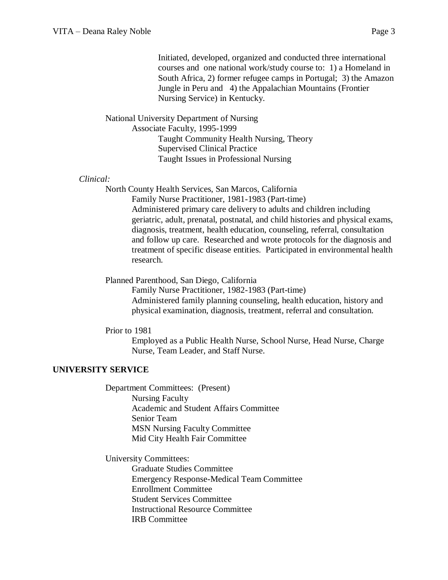Initiated, developed, organized and conducted three international courses and one national work/study course to: 1) a Homeland in South Africa, 2) former refugee camps in Portugal; 3) the Amazon Jungle in Peru and 4) the Appalachian Mountains (Frontier Nursing Service) in Kentucky.

National University Department of Nursing Associate Faculty, 1995-1999 Taught Community Health Nursing, Theory Supervised Clinical Practice Taught Issues in Professional Nursing

#### *Clinical:*

North County Health Services, San Marcos, California Family Nurse Practitioner, 1981-1983 (Part-time) Administered primary care delivery to adults and children including geriatric, adult, prenatal, postnatal, and child histories and physical exams, diagnosis, treatment, health education, counseling, referral, consultation and follow up care. Researched and wrote protocols for the diagnosis and treatment of specific disease entities. Participated in environmental health research.

Planned Parenthood, San Diego, California

Family Nurse Practitioner, 1982-1983 (Part-time) Administered family planning counseling, health education, history and physical examination, diagnosis, treatment, referral and consultation.

Prior to 1981

Employed as a Public Health Nurse, School Nurse, Head Nurse, Charge Nurse, Team Leader, and Staff Nurse.

### **UNIVERSITY SERVICE**

Department Committees: (Present) Nursing Faculty Academic and Student Affairs Committee Senior Team MSN Nursing Faculty Committee Mid City Health Fair Committee

University Committees:

Graduate Studies Committee Emergency Response-Medical Team Committee Enrollment Committee Student Services Committee Instructional Resource Committee IRB Committee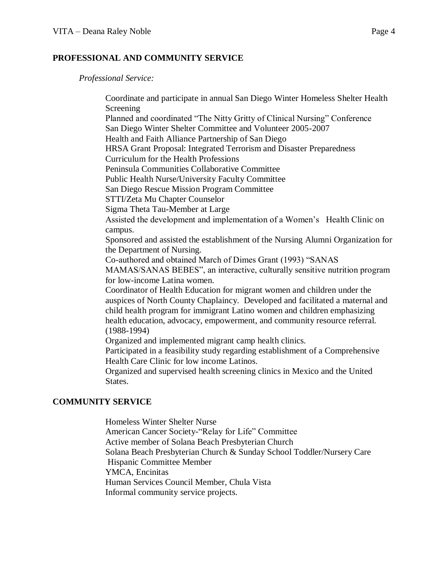## **PROFESSIONAL AND COMMUNITY SERVICE**

*Professional Service:*

Coordinate and participate in annual San Diego Winter Homeless Shelter Health Screening Planned and coordinated "The Nitty Gritty of Clinical Nursing" Conference San Diego Winter Shelter Committee and Volunteer 2005-2007 Health and Faith Alliance Partnership of San Diego HRSA Grant Proposal: Integrated Terrorism and Disaster Preparedness Curriculum for the Health Professions Peninsula Communities Collaborative Committee Public Health Nurse/University Faculty Committee San Diego Rescue Mission Program Committee STTI/Zeta Mu Chapter Counselor Sigma Theta Tau-Member at Large Assisted the development and implementation of a Women's Health Clinic on campus. Sponsored and assisted the establishment of the Nursing Alumni Organization for the Department of Nursing. Co-authored and obtained March of Dimes Grant (1993) "SANAS MAMAS/SANAS BEBES", an interactive, culturally sensitive nutrition program for low-income Latina women. Coordinator of Health Education for migrant women and children under the auspices of North County Chaplaincy. Developed and facilitated a maternal and child health program for immigrant Latino women and children emphasizing health education, advocacy, empowerment, and community resource referral. (1988-1994) Organized and implemented migrant camp health clinics. Participated in a feasibility study regarding establishment of a Comprehensive Health Care Clinic for low income Latinos. Organized and supervised health screening clinics in Mexico and the United States.

# **COMMUNITY SERVICE**

Homeless Winter Shelter Nurse American Cancer Society-"Relay for Life" Committee Active member of Solana Beach Presbyterian Church Solana Beach Presbyterian Church & Sunday School Toddler/Nursery Care Hispanic Committee Member YMCA, Encinitas Human Services Council Member, Chula Vista Informal community service projects.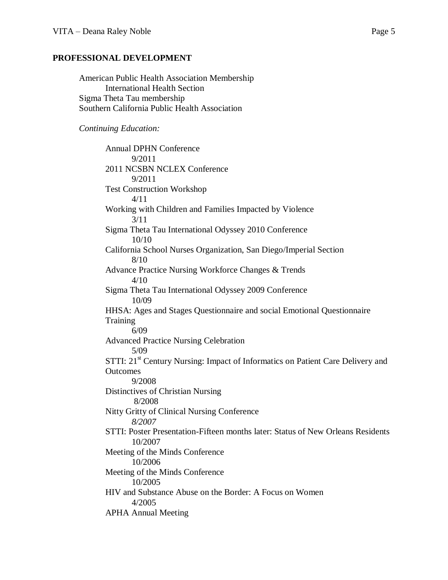#### **PROFESSIONAL DEVELOPMENT**

American Public Health Association Membership International Health Section Sigma Theta Tau membership Southern California Public Health Association

#### *Continuing Education:*

Annual DPHN Conference 9/2011 2011 NCSBN NCLEX Conference 9/2011 Test Construction Workshop 4/11 Working with Children and Families Impacted by Violence 3/11 Sigma Theta Tau International Odyssey 2010 Conference 10/10 California School Nurses Organization, San Diego/Imperial Section 8/10 Advance Practice Nursing Workforce Changes & Trends 4/10 Sigma Theta Tau International Odyssey 2009 Conference 10/09 HHSA: Ages and Stages Questionnaire and social Emotional Questionnaire **Training** 6/09 Advanced Practice Nursing Celebration 5/09 STTI: 21<sup>st</sup> Century Nursing: Impact of Informatics on Patient Care Delivery and **Outcomes** 9/2008 Distinctives of Christian Nursing 8/2008 Nitty Gritty of Clinical Nursing Conference *8/2007* STTI: Poster Presentation-Fifteen months later: Status of New Orleans Residents 10/2007 Meeting of the Minds Conference 10/2006 Meeting of the Minds Conference 10/2005 HIV and Substance Abuse on the Border: A Focus on Women 4/2005 APHA Annual Meeting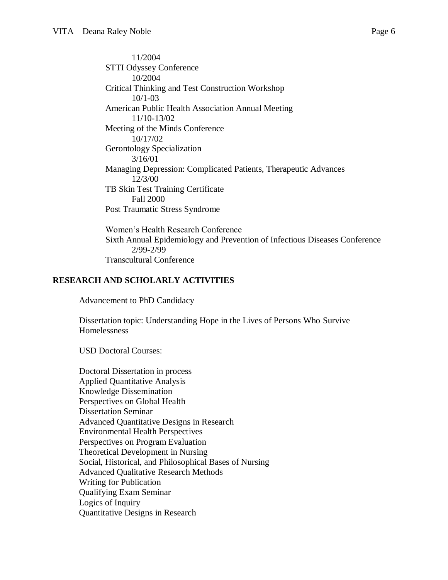11/2004 STTI Odyssey Conference 10/2004 Critical Thinking and Test Construction Workshop 10/1-03 American Public Health Association Annual Meeting 11/10-13/02 Meeting of the Minds Conference 10/17/02 Gerontology Specialization 3/16/01 Managing Depression: Complicated Patients, Therapeutic Advances 12/3/00 TB Skin Test Training Certificate Fall 2000 Post Traumatic Stress Syndrome

Women's Health Research Conference Sixth Annual Epidemiology and Prevention of Infectious Diseases Conference 2/99-2/99 Transcultural Conference

# **RESEARCH AND SCHOLARLY ACTIVITIES**

Advancement to PhD Candidacy

Dissertation topic: Understanding Hope in the Lives of Persons Who Survive Homelessness

USD Doctoral Courses:

Doctoral Dissertation in process Applied Quantitative Analysis Knowledge Dissemination Perspectives on Global Health Dissertation Seminar Advanced Quantitative Designs in Research Environmental Health Perspectives Perspectives on Program Evaluation Theoretical Development in Nursing Social, Historical, and Philosophical Bases of Nursing Advanced Qualitative Research Methods Writing for Publication Qualifying Exam Seminar Logics of Inquiry Quantitative Designs in Research